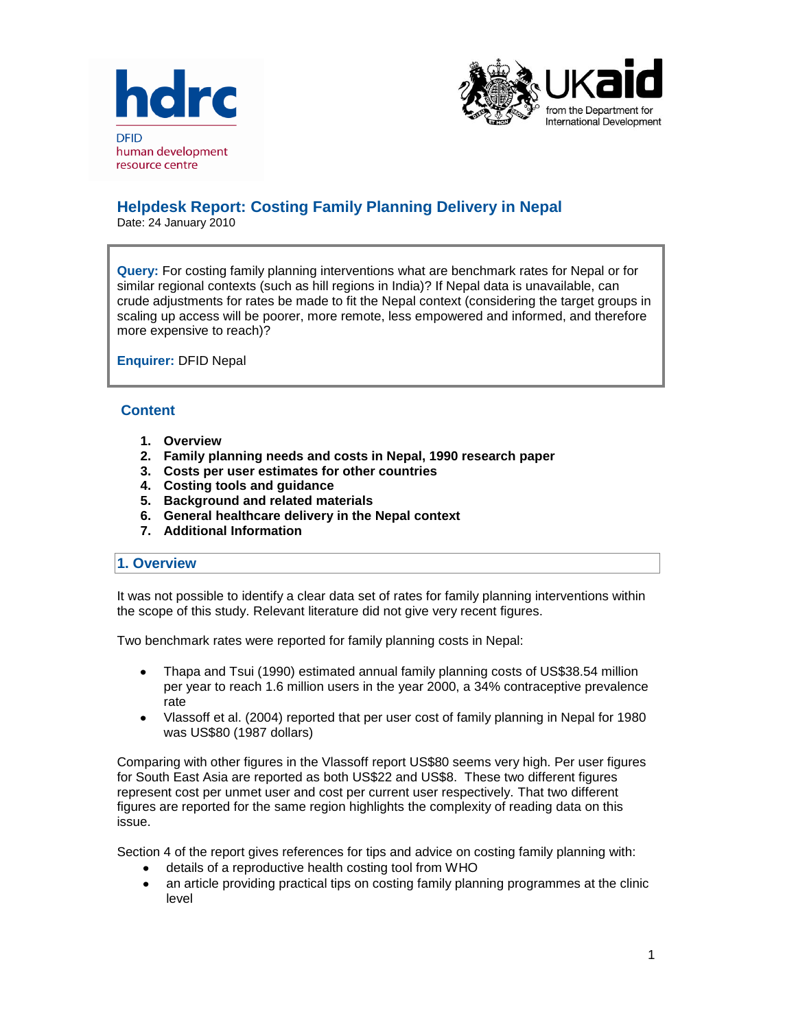



# **Helpdesk Report: Costing Family Planning Delivery in Nepal**

Date: 24 January 2010

**Query:** For costing family planning interventions what are benchmark rates for Nepal or for similar regional contexts (such as hill regions in India)? If Nepal data is unavailable, can crude adjustments for rates be made to fit the Nepal context (considering the target groups in scaling up access will be poorer, more remote, less empowered and informed, and therefore more expensive to reach)?

**Enquirer:** DFID Nepal

## **Content**

- **1. Overview**
- **2. Family planning needs and costs in Nepal, 1990 research paper**
- **3. Costs per user estimates for other countries**
- **4. Costing tools and guidance**
- **5. Background and related materials**
- **6. General healthcare delivery in the Nepal context**
- **7. Additional Information**

#### **1. Overview**

It was not possible to identify a clear data set of rates for family planning interventions within the scope of this study. Relevant literature did not give very recent figures.

Two benchmark rates were reported for family planning costs in Nepal:

- Thapa and Tsui (1990) estimated annual family planning costs of US\$38.54 million  $\bullet$ per year to reach 1.6 million users in the year 2000, a 34% contraceptive prevalence rate
- Vlassoff et al. (2004) reported that per user cost of family planning in Nepal for 1980  $\bullet$ was US\$80 (1987 dollars)

Comparing with other figures in the Vlassoff report US\$80 seems very high. Per user figures for South East Asia are reported as both US\$22 and US\$8. These two different figures represent cost per unmet user and cost per current user respectively. That two different figures are reported for the same region highlights the complexity of reading data on this issue.

Section 4 of the report gives references for tips and advice on costing family planning with:

- details of a reproductive health costing tool from WHO  $\bullet$
- an article providing practical tips on costing family planning programmes at the clinic  $\bullet$ level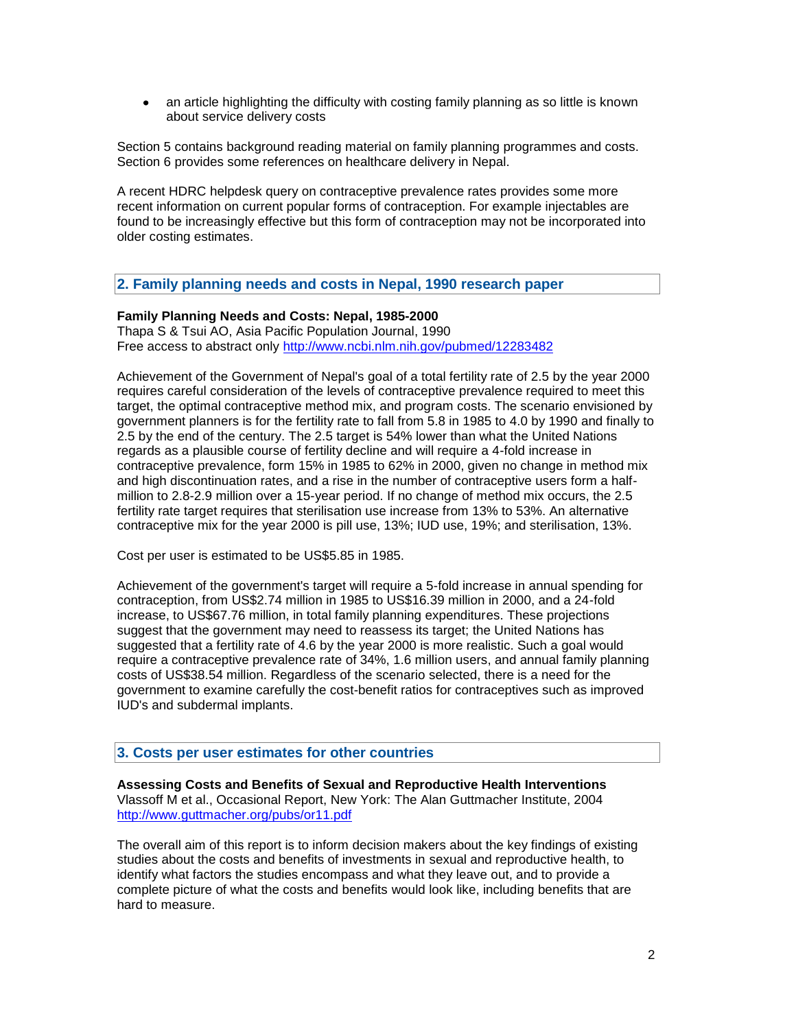an article highlighting the difficulty with costing family planning as so little is known about service delivery costs

Section 5 contains background reading material on family planning programmes and costs. Section 6 provides some references on healthcare delivery in Nepal.

A recent HDRC helpdesk query on contraceptive prevalence rates provides some more recent information on current popular forms of contraception. For example injectables are found to be increasingly effective but this form of contraception may not be incorporated into older costing estimates.

## **2. Family planning needs and costs in Nepal, 1990 research paper**

### **Family Planning Needs and Costs: Nepal, 1985-2000**

Thapa S & Tsui AO, Asia Pacific Population Journal, 1990 Free access to abstract only<http://www.ncbi.nlm.nih.gov/pubmed/12283482>

Achievement of the Government of Nepal's goal of a total fertility rate of 2.5 by the year 2000 requires careful consideration of the levels of contraceptive prevalence required to meet this target, the optimal contraceptive method mix, and program costs. The scenario envisioned by government planners is for the fertility rate to fall from 5.8 in 1985 to 4.0 by 1990 and finally to 2.5 by the end of the century. The 2.5 target is 54% lower than what the United Nations regards as a plausible course of fertility decline and will require a 4-fold increase in contraceptive prevalence, form 15% in 1985 to 62% in 2000, given no change in method mix and high discontinuation rates, and a rise in the number of contraceptive users form a halfmillion to 2.8-2.9 million over a 15-year period. If no change of method mix occurs, the 2.5 fertility rate target requires that sterilisation use increase from 13% to 53%. An alternative contraceptive mix for the year 2000 is pill use, 13%; IUD use, 19%; and sterilisation, 13%.

Cost per user is estimated to be US\$5.85 in 1985.

Achievement of the government's target will require a 5-fold increase in annual spending for contraception, from US\$2.74 million in 1985 to US\$16.39 million in 2000, and a 24-fold increase, to US\$67.76 million, in total family planning expenditures. These projections suggest that the government may need to reassess its target; the United Nations has suggested that a fertility rate of 4.6 by the year 2000 is more realistic. Such a goal would require a contraceptive prevalence rate of 34%, 1.6 million users, and annual family planning costs of US\$38.54 million. Regardless of the scenario selected, there is a need for the government to examine carefully the cost-benefit ratios for contraceptives such as improved IUD's and subdermal implants.

### **3. Costs per user estimates for other countries**

**Assessing Costs and Benefits of Sexual and Reproductive Health Interventions** Vlassoff M et al., Occasional Report, New York: The Alan Guttmacher Institute, 2004 <http://www.guttmacher.org/pubs/or11.pdf>

The overall aim of this report is to inform decision makers about the key findings of existing studies about the costs and benefits of investments in sexual and reproductive health, to identify what factors the studies encompass and what they leave out, and to provide a complete picture of what the costs and benefits would look like, including benefits that are hard to measure.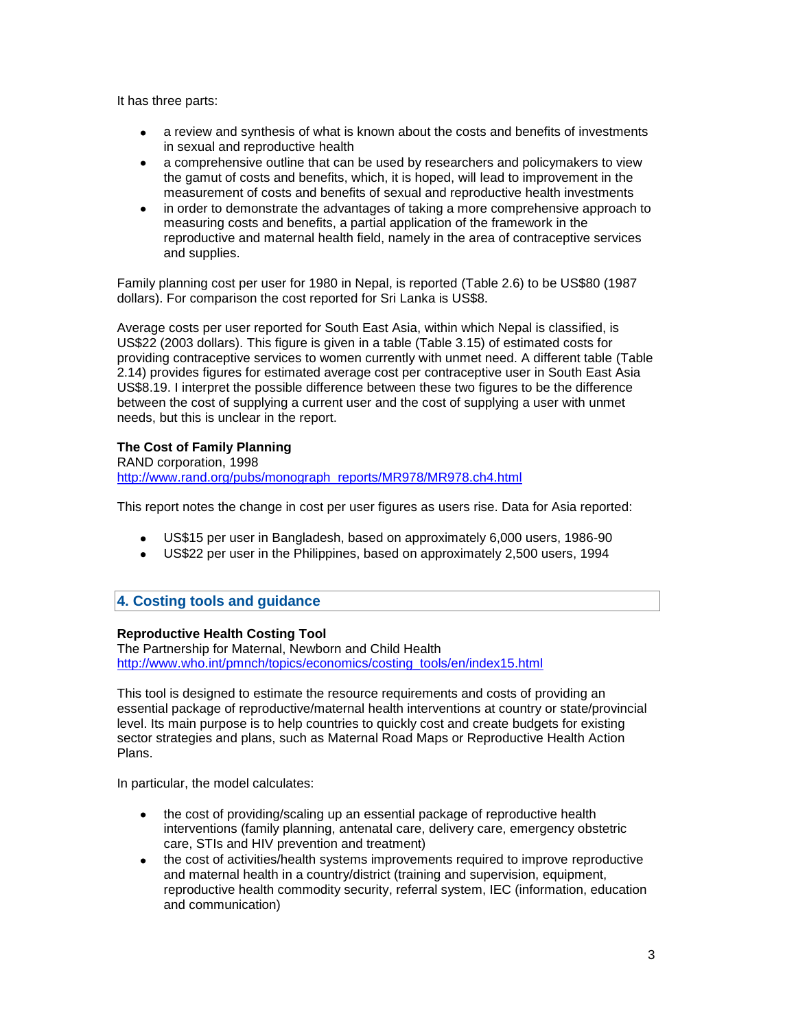It has three parts:

- a review and synthesis of what is known about the costs and benefits of investments in sexual and reproductive health
- a comprehensive outline that can be used by researchers and policymakers to view the gamut of costs and benefits, which, it is hoped, will lead to improvement in the measurement of costs and benefits of sexual and reproductive health investments
- in order to demonstrate the advantages of taking a more comprehensive approach to  $\bullet$ measuring costs and benefits, a partial application of the framework in the reproductive and maternal health field, namely in the area of contraceptive services and supplies.

Family planning cost per user for 1980 in Nepal, is reported (Table 2.6) to be US\$80 (1987 dollars). For comparison the cost reported for Sri Lanka is US\$8.

Average costs per user reported for South East Asia, within which Nepal is classified, is US\$22 (2003 dollars). This figure is given in a table (Table 3.15) of estimated costs for providing contraceptive services to women currently with unmet need. A different table (Table 2.14) provides figures for estimated average cost per contraceptive user in South East Asia US\$8.19. I interpret the possible difference between these two figures to be the difference between the cost of supplying a current user and the cost of supplying a user with unmet needs, but this is unclear in the report.

## **The Cost of Family Planning**

RAND corporation, 1998 [http://www.rand.org/pubs/monograph\\_reports/MR978/MR978.ch4.html](http://www.rand.org/pubs/monograph_reports/MR978/MR978.ch4.html)

This report notes the change in cost per user figures as users rise. Data for Asia reported:

- US\$15 per user in Bangladesh, based on approximately 6,000 users, 1986-90
- US\$22 per user in the Philippines, based on approximately 2,500 users, 1994

## **4. Costing tools and guidance**

## **Reproductive Health Costing Tool**

The Partnership for Maternal, Newborn and Child Health [http://www.who.int/pmnch/topics/economics/costing\\_tools/en/index15.html](http://www.who.int/pmnch/topics/economics/costing_tools/en/index15.html)

This tool is designed to estimate the resource requirements and costs of providing an essential package of reproductive/maternal health interventions at country or state/provincial level. Its main purpose is to help countries to quickly cost and create budgets for existing sector strategies and plans, such as Maternal Road Maps or Reproductive Health Action Plans.

In particular, the model calculates:

- $\bullet$ the cost of providing/scaling up an essential package of reproductive health interventions (family planning, antenatal care, delivery care, emergency obstetric care, STIs and HIV prevention and treatment)
- $\bullet$ the cost of activities/health systems improvements required to improve reproductive and maternal health in a country/district (training and supervision, equipment, reproductive health commodity security, referral system, IEC (information, education and communication)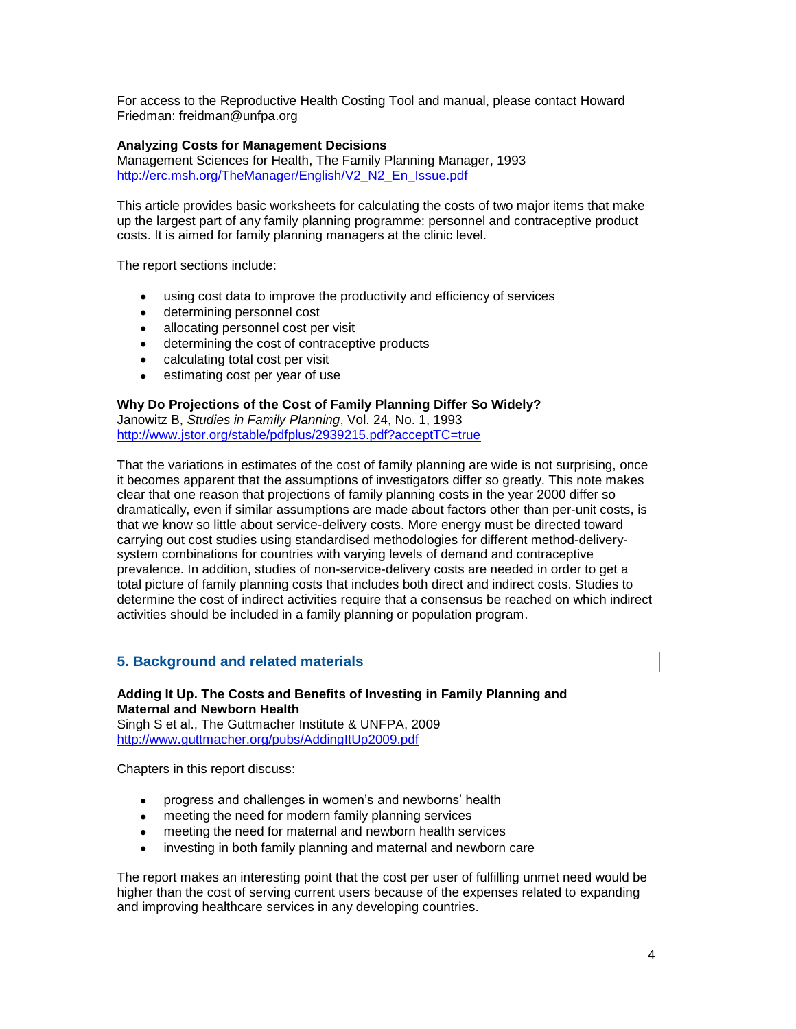For access to the Reproductive Health Costing Tool and manual, please contact Howard Friedman: freidman@unfpa.org

## **Analyzing Costs for Management Decisions**

Management Sciences for Health, The Family Planning Manager, 1993 [http://erc.msh.org/TheManager/English/V2\\_N2\\_En\\_Issue.pdf](http://erc.msh.org/TheManager/English/V2_N2_En_Issue.pdf)

This article provides basic worksheets for calculating the costs of two major items that make up the largest part of any family planning programme: personnel and contraceptive product costs. It is aimed for family planning managers at the clinic level.

The report sections include:

- using cost data to improve the productivity and efficiency of services
- determining personnel cost
- allocating personnel cost per visit
- determining the cost of contraceptive products
- calculating total cost per visit
- estimating cost per year of use

## **Why Do Projections of the Cost of Family Planning Differ So Widely?**

Janowitz B, *Studies in Family Planning*, Vol. 24, No. 1, 1993 <http://www.jstor.org/stable/pdfplus/2939215.pdf?acceptTC=true>

That the variations in estimates of the cost of family planning are wide is not surprising, once it becomes apparent that the assumptions of investigators differ so greatly. This note makes clear that one reason that projections of family planning costs in the year 2000 differ so dramatically, even if similar assumptions are made about factors other than per-unit costs, is that we know so little about service-delivery costs. More energy must be directed toward carrying out cost studies using standardised methodologies for different method-deliverysystem combinations for countries with varying levels of demand and contraceptive prevalence. In addition, studies of non-service-delivery costs are needed in order to get a total picture of family planning costs that includes both direct and indirect costs. Studies to determine the cost of indirect activities require that a consensus be reached on which indirect activities should be included in a family planning or population program.

## **5. Background and related materials**

## **Adding It Up. The Costs and Benefits of Investing in Family Planning and Maternal and Newborn Health**

Singh S et al., The Guttmacher Institute & UNFPA, 2009 <http://www.guttmacher.org/pubs/AddingItUp2009.pdf>

Chapters in this report discuss:

- progress and challenges in women's and newborns' health
- meeting the need for modern family planning services
- meeting the need for maternal and newborn health services
- investing in both family planning and maternal and newborn care

The report makes an interesting point that the cost per user of fulfilling unmet need would be higher than the cost of serving current users because of the expenses related to expanding and improving healthcare services in any developing countries.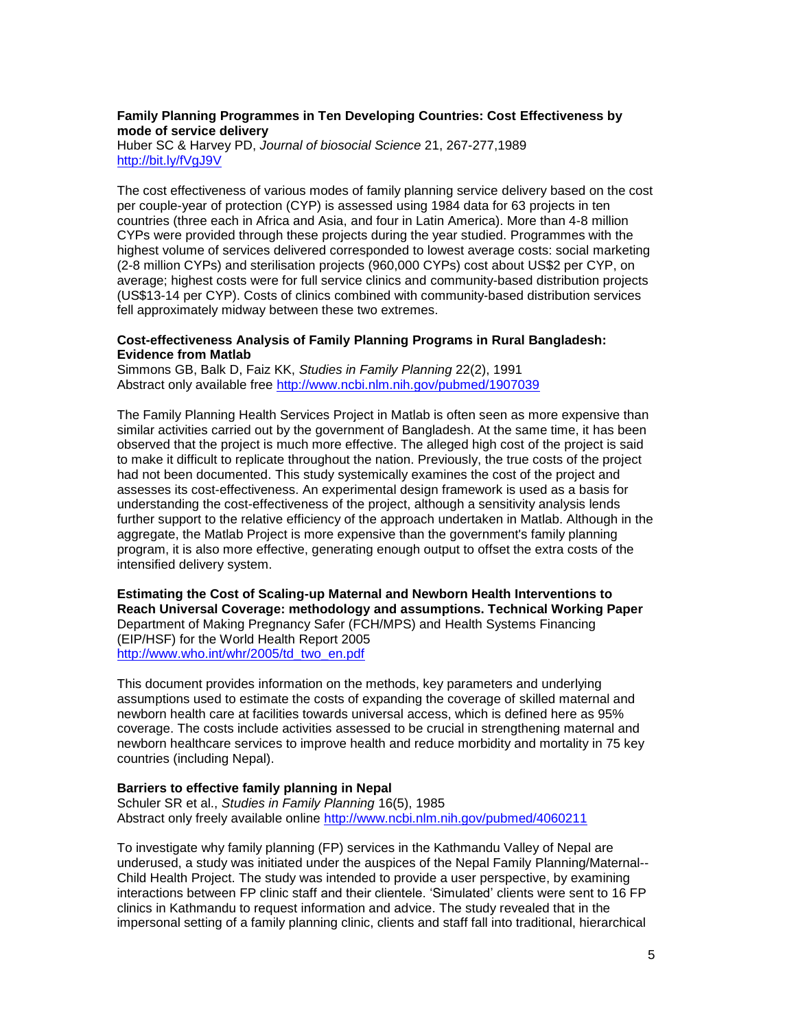## **Family Planning Programmes in Ten Developing Countries: Cost Effectiveness by mode of service delivery**

Huber SC & Harvey PD, *Journal of biosocial Science* 21, 267-277,1989 <http://bit.ly/fVgJ9V>

The cost effectiveness of various modes of family planning service delivery based on the cost per couple-year of protection (CYP) is assessed using 1984 data for 63 projects in ten countries (three each in Africa and Asia, and four in Latin America). More than 4-8 million CYPs were provided through these projects during the year studied. Programmes with the highest volume of services delivered corresponded to lowest average costs: social marketing (2-8 million CYPs) and sterilisation projects (960,000 CYPs) cost about US\$2 per CYP, on average; highest costs were for full service clinics and community-based distribution projects (US\$13-14 per CYP). Costs of clinics combined with community-based distribution services fell approximately midway between these two extremes.

#### **Cost-effectiveness Analysis of Family Planning Programs in Rural Bangladesh: Evidence from Matlab**

Simmons GB, Balk D, Faiz KK, *Studies in Family Planning* 22(2), 1991 Abstract only available free<http://www.ncbi.nlm.nih.gov/pubmed/1907039>

The Family Planning Health Services Project in Matlab is often seen as more expensive than similar activities carried out by the government of Bangladesh. At the same time, it has been observed that the project is much more effective. The alleged high cost of the project is said to make it difficult to replicate throughout the nation. Previously, the true costs of the project had not been documented. This study systemically examines the cost of the project and assesses its cost-effectiveness. An experimental design framework is used as a basis for understanding the cost-effectiveness of the project, although a sensitivity analysis lends further support to the relative efficiency of the approach undertaken in Matlab. Although in the aggregate, the Matlab Project is more expensive than the government's family planning program, it is also more effective, generating enough output to offset the extra costs of the intensified delivery system.

**Estimating the Cost of Scaling-up Maternal and Newborn Health Interventions to Reach Universal Coverage: methodology and assumptions. Technical Working Paper** Department of Making Pregnancy Safer (FCH/MPS) and Health Systems Financing (EIP/HSF) for the World Health Report 2005 [http://www.who.int/whr/2005/td\\_two\\_en.pdf](http://www.who.int/whr/2005/td_two_en.pdf)

This document provides information on the methods, key parameters and underlying assumptions used to estimate the costs of expanding the coverage of skilled maternal and newborn health care at facilities towards universal access, which is defined here as 95% coverage. The costs include activities assessed to be crucial in strengthening maternal and newborn healthcare services to improve health and reduce morbidity and mortality in 75 key countries (including Nepal).

#### **Barriers to effective family planning in Nepal**

Schuler SR et al., *Studies in Family Planning* 16(5), 1985 Abstract only freely available online <http://www.ncbi.nlm.nih.gov/pubmed/4060211>

To investigate why family planning (FP) services in the Kathmandu Valley of Nepal are underused, a study was initiated under the auspices of the Nepal Family Planning/Maternal-- Child Health Project. The study was intended to provide a user perspective, by examining interactions between FP clinic staff and their clientele. 'Simulated' clients were sent to 16 FP clinics in Kathmandu to request information and advice. The study revealed that in the impersonal setting of a family planning clinic, clients and staff fall into traditional, hierarchical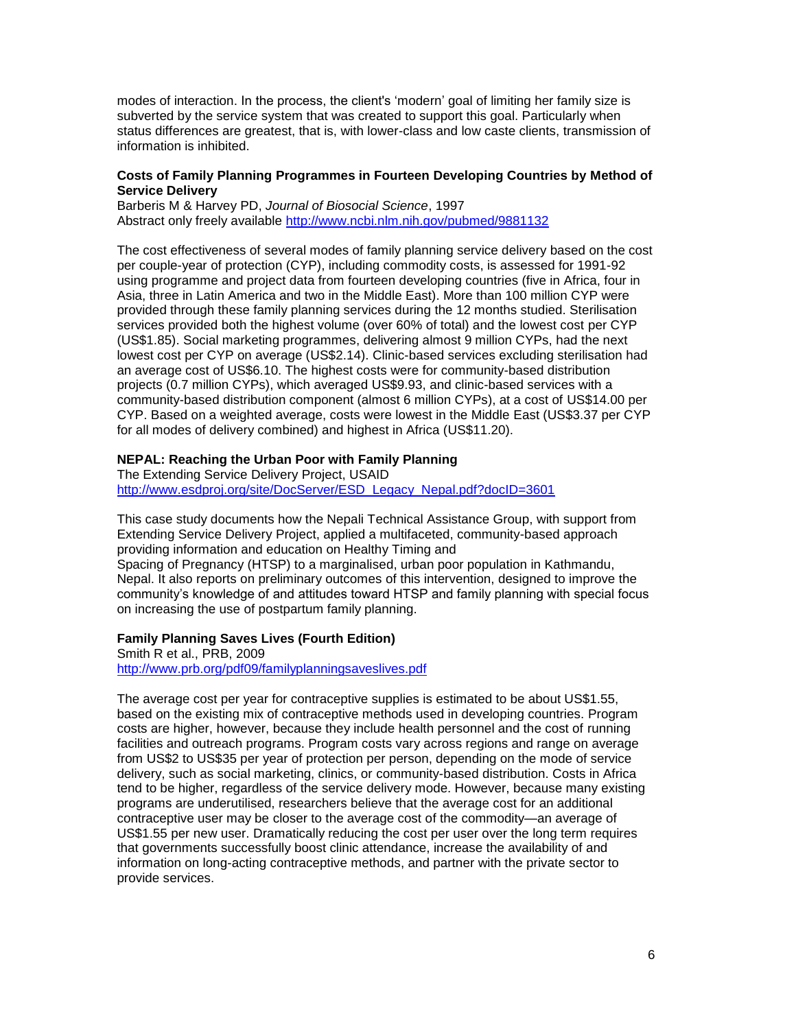modes of interaction. In the process, the client's 'modern' goal of limiting her family size is subverted by the service system that was created to support this goal. Particularly when status differences are greatest, that is, with lower-class and low caste clients, transmission of information is inhibited.

#### **Costs of Family Planning Programmes in Fourteen Developing Countries by Method of Service Delivery**

Barberis M & Harvey PD, *Journal of Biosocial Science*, 1997 Abstract only freely available<http://www.ncbi.nlm.nih.gov/pubmed/9881132>

The cost effectiveness of several modes of family planning service delivery based on the cost per couple-year of protection (CYP), including commodity costs, is assessed for 1991-92 using programme and project data from fourteen developing countries (five in Africa, four in Asia, three in Latin America and two in the Middle East). More than 100 million CYP were provided through these family planning services during the 12 months studied. Sterilisation services provided both the highest volume (over 60% of total) and the lowest cost per CYP (US\$1.85). Social marketing programmes, delivering almost 9 million CYPs, had the next lowest cost per CYP on average (US\$2.14). Clinic-based services excluding sterilisation had an average cost of US\$6.10. The highest costs were for community-based distribution projects (0.7 million CYPs), which averaged US\$9.93, and clinic-based services with a community-based distribution component (almost 6 million CYPs), at a cost of US\$14.00 per CYP. Based on a weighted average, costs were lowest in the Middle East (US\$3.37 per CYP for all modes of delivery combined) and highest in Africa (US\$11.20).

### **NEPAL: Reaching the Urban Poor with Family Planning**

The Extending Service Delivery Project, USAID [http://www.esdproj.org/site/DocServer/ESD\\_Legacy\\_Nepal.pdf?docID=3601](http://www.esdproj.org/site/DocServer/ESD_Legacy_Nepal.pdf?docID=3601)

This case study documents how the Nepali Technical Assistance Group, with support from Extending Service Delivery Project, applied a multifaceted, community-based approach providing information and education on Healthy Timing and Spacing of Pregnancy (HTSP) to a marginalised, urban poor population in Kathmandu, Nepal. It also reports on preliminary outcomes of this intervention, designed to improve the community's knowledge of and attitudes toward HTSP and family planning with special focus on increasing the use of postpartum family planning.

#### **Family Planning Saves Lives (Fourth Edition)**

Smith R et al., PRB, 2009 <http://www.prb.org/pdf09/familyplanningsaveslives.pdf>

The average cost per year for contraceptive supplies is estimated to be about US\$1.55, based on the existing mix of contraceptive methods used in developing countries. Program costs are higher, however, because they include health personnel and the cost of running facilities and outreach programs. Program costs vary across regions and range on average from US\$2 to US\$35 per year of protection per person, depending on the mode of service delivery, such as social marketing, clinics, or community-based distribution. Costs in Africa tend to be higher, regardless of the service delivery mode. However, because many existing programs are underutilised, researchers believe that the average cost for an additional contraceptive user may be closer to the average cost of the commodity—an average of US\$1.55 per new user. Dramatically reducing the cost per user over the long term requires that governments successfully boost clinic attendance, increase the availability of and information on long-acting contraceptive methods, and partner with the private sector to provide services.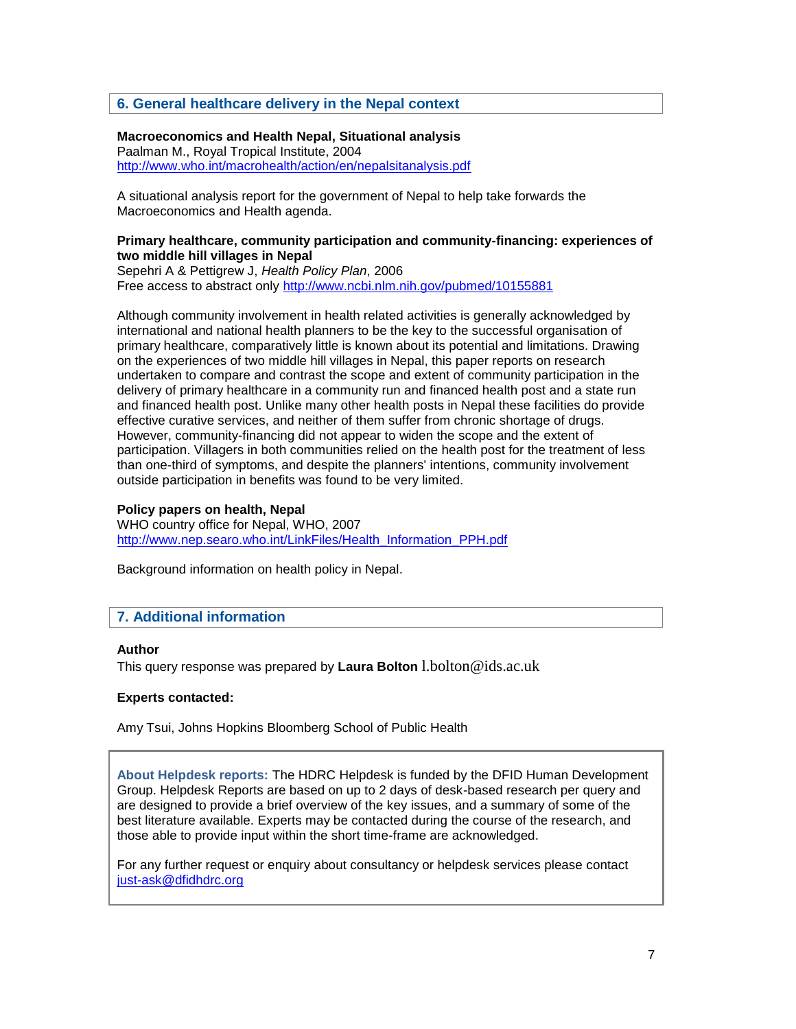## **6. General healthcare delivery in the Nepal context**

## **Macroeconomics and Health Nepal, Situational analysis**

Paalman M., Royal Tropical Institute, 2004 <http://www.who.int/macrohealth/action/en/nepalsitanalysis.pdf>

A situational analysis report for the government of Nepal to help take forwards the Macroeconomics and Health agenda.

#### **Primary healthcare, community participation and community-financing: experiences of two middle hill villages in Nepal**

Sepehri A & Pettigrew J, *Health Policy Plan*, 2006 Free access to abstract only<http://www.ncbi.nlm.nih.gov/pubmed/10155881>

Although community involvement in health related activities is generally acknowledged by international and national health planners to be the key to the successful organisation of primary healthcare, comparatively little is known about its potential and limitations. Drawing on the experiences of two middle hill villages in Nepal, this paper reports on research undertaken to compare and contrast the scope and extent of community participation in the delivery of primary healthcare in a community run and financed health post and a state run and financed health post. Unlike many other health posts in Nepal these facilities do provide effective curative services, and neither of them suffer from chronic shortage of drugs. However, community-financing did not appear to widen the scope and the extent of participation. Villagers in both communities relied on the health post for the treatment of less than one-third of symptoms, and despite the planners' intentions, community involvement outside participation in benefits was found to be very limited.

## **Policy papers on health, Nepal**

WHO country office for Nepal, WHO, 2007 [http://www.nep.searo.who.int/LinkFiles/Health\\_Information\\_PPH.pdf](http://www.nep.searo.who.int/LinkFiles/Health_Information_PPH.pdf)

Background information on health policy in Nepal.

## **7. Additional information**

#### **Author**

This query response was prepared by **Laura Bolton** l.bolton@ids.ac.uk

### **Experts contacted:**

Amy Tsui, Johns Hopkins Bloomberg School of Public Health

**About Helpdesk reports:** The HDRC Helpdesk is funded by the DFID Human Development Group. Helpdesk Reports are based on up to 2 days of desk-based research per query and are designed to provide a brief overview of the key issues, and a summary of some of the best literature available. Experts may be contacted during the course of the research, and those able to provide input within the short time-frame are acknowledged.

For any further request or enquiry about consultancy or helpdesk services please contact [just-ask@dfidhdrc.org](mailto:just-ask@dfidhdrc.org)